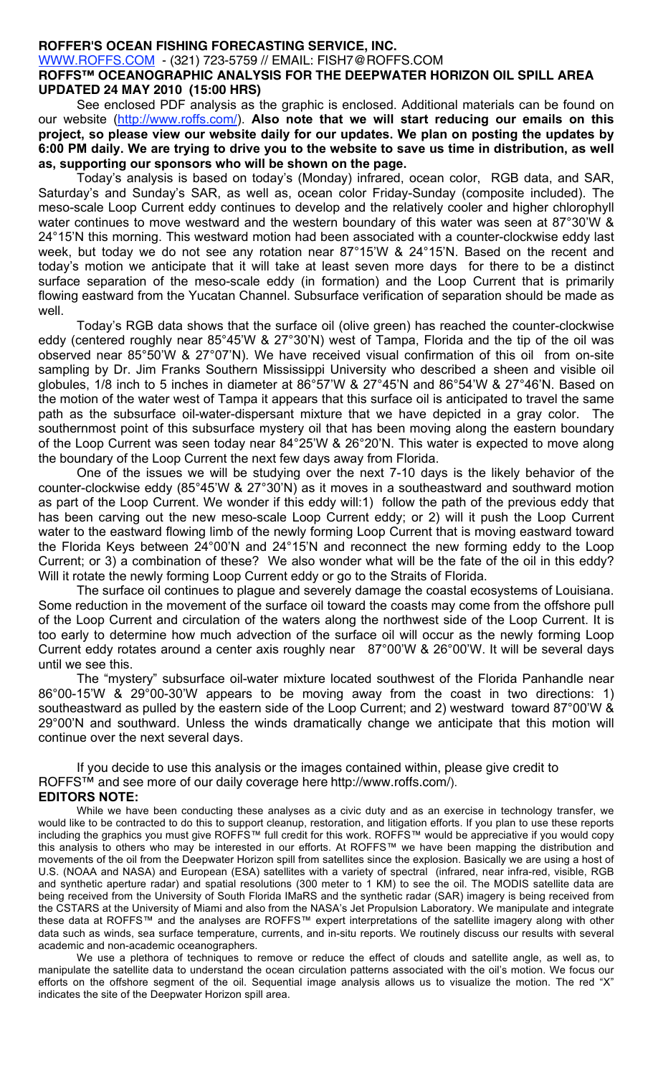## **ROFFER'S OCEAN FISHING FORECASTING SERVICE, INC.**

WWW.ROFFS.COM - (321) 723-5759 // EMAIL: FISH7@ROFFS.COM

## **ROFFS™ OCEANOGRAPHIC ANALYSIS FOR THE DEEPWATER HORIZON OIL SPILL AREA UPDATED 24 MAY 2010 (15:00 HRS)**

See enclosed PDF analysis as the graphic is enclosed. Additional materials can be found on our website (http://www.roffs.com/). **Also note that we will start reducing our emails on this project, so please view our website daily for our updates. We plan on posting the updates by 6:00 PM daily. We are trying to drive you to the website to save us time in distribution, as well as, supporting our sponsors who will be shown on the page.**

Today's analysis is based on today's (Monday) infrared, ocean color, RGB data, and SAR, Saturday's and Sunday's SAR, as well as, ocean color Friday-Sunday (composite included). The meso-scale Loop Current eddy continues to develop and the relatively cooler and higher chlorophyll water continues to move westward and the western boundary of this water was seen at 87°30'W & 24°15'N this morning. This westward motion had been associated with a counter-clockwise eddy last week, but today we do not see any rotation near 87°15'W & 24°15'N. Based on the recent and today's motion we anticipate that it will take at least seven more days for there to be a distinct surface separation of the meso-scale eddy (in formation) and the Loop Current that is primarily flowing eastward from the Yucatan Channel. Subsurface verification of separation should be made as well.

Today's RGB data shows that the surface oil (olive green) has reached the counter-clockwise eddy (centered roughly near 85°45'W & 27°30'N) west of Tampa, Florida and the tip of the oil was observed near 85°50'W & 27°07'N). We have received visual confirmation of this oil from on-site sampling by Dr. Jim Franks Southern Mississippi University who described a sheen and visible oil globules, 1/8 inch to 5 inches in diameter at 86°57'W & 27°45'N and 86°54'W & 27°46'N. Based on the motion of the water west of Tampa it appears that this surface oil is anticipated to travel the same path as the subsurface oil-water-dispersant mixture that we have depicted in a gray color. The southernmost point of this subsurface mystery oil that has been moving along the eastern boundary of the Loop Current was seen today near 84°25'W & 26°20'N. This water is expected to move along the boundary of the Loop Current the next few days away from Florida.

One of the issues we will be studying over the next 7-10 days is the likely behavior of the counter-clockwise eddy (85°45'W & 27°30'N) as it moves in a southeastward and southward motion as part of the Loop Current. We wonder if this eddy will:1) follow the path of the previous eddy that has been carving out the new meso-scale Loop Current eddy; or 2) will it push the Loop Current water to the eastward flowing limb of the newly forming Loop Current that is moving eastward toward the Florida Keys between 24°00'N and 24°15'N and reconnect the new forming eddy to the Loop Current; or 3) a combination of these? We also wonder what will be the fate of the oil in this eddy? Will it rotate the newly forming Loop Current eddy or go to the Straits of Florida.

The surface oil continues to plague and severely damage the coastal ecosystems of Louisiana. Some reduction in the movement of the surface oil toward the coasts may come from the offshore pull of the Loop Current and circulation of the waters along the northwest side of the Loop Current. It is too early to determine how much advection of the surface oil will occur as the newly forming Loop Current eddy rotates around a center axis roughly near 87°00'W & 26°00'W. It will be several days until we see this.

The "mystery" subsurface oil-water mixture located southwest of the Florida Panhandle near 86°00-15'W & 29°00-30'W appears to be moving away from the coast in two directions: 1) southeastward as pulled by the eastern side of the Loop Current; and 2) westward toward 87°00'W & 29°00'N and southward. Unless the winds dramatically change we anticipate that this motion will continue over the next several days.

If you decide to use this analysis or the images contained within, please give credit to ROFFS™ and see more of our daily coverage here http://www.roffs.com/). **EDITORS NOTE:**

While we have been conducting these analyses as a civic duty and as an exercise in technology transfer, we would like to be contracted to do this to support cleanup, restoration, and litigation efforts. If you plan to use these reports including the graphics you must give ROFFS™ full credit for this work. ROFFS™ would be appreciative if you would copy this analysis to others who may be interested in our efforts. At ROFFS™ we have been mapping the distribution and movements of the oil from the Deepwater Horizon spill from satellites since the explosion. Basically we are using a host of U.S. (NOAA and NASA) and European (ESA) satellites with a variety of spectral (infrared, near infra-red, visible, RGB and synthetic aperture radar) and spatial resolutions (300 meter to 1 KM) to see the oil. The MODIS satellite data are being received from the University of South Florida IMaRS and the synthetic radar (SAR) imagery is being received from the CSTARS at the University of Miami and also from the NASA's Jet Propulsion Laboratory. We manipulate and integrate these data at ROFFS™ and the analyses are ROFFS™ expert interpretations of the satellite imagery along with other data such as winds, sea surface temperature, currents, and in-situ reports. We routinely discuss our results with several academic and non-academic oceanographers.

We use a plethora of techniques to remove or reduce the effect of clouds and satellite angle, as well as, to manipulate the satellite data to understand the ocean circulation patterns associated with the oil's motion. We focus our efforts on the offshore segment of the oil. Sequential image analysis allows us to visualize the motion. The red "X" indicates the site of the Deepwater Horizon spill area.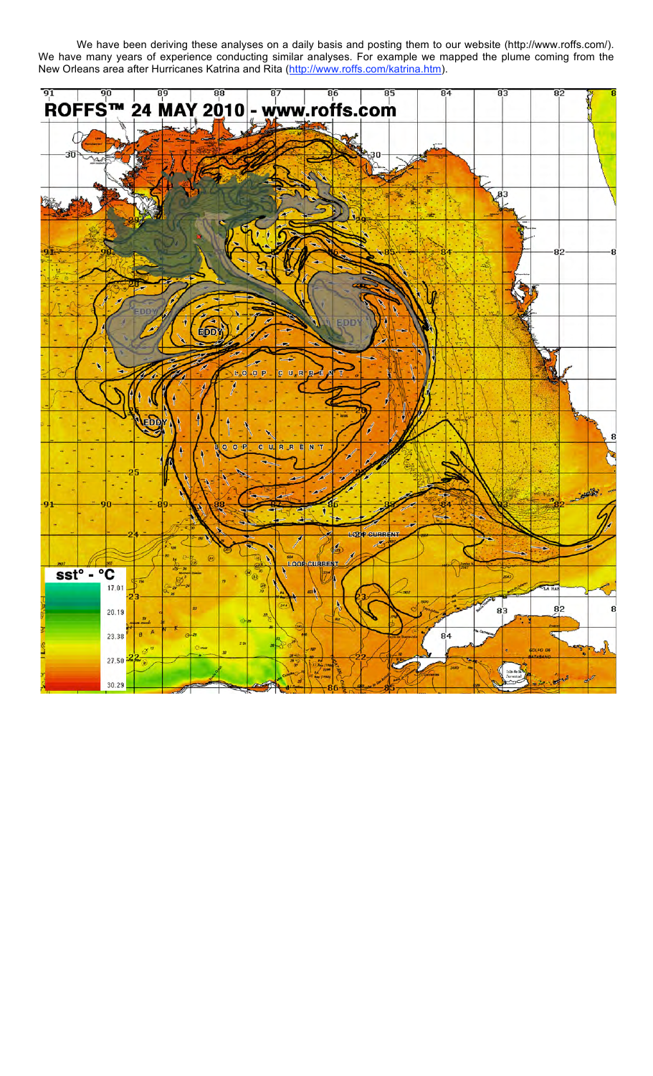We have been deriving these analyses on a daily basis and posting them to our website (http://www.roffs.com/). We have many years of experience conducting similar analyses. For example we mapped the plume coming from the New Orleans area after Hurricanes Katrina and Rita (http://www.roffs.com/katrina.htm).